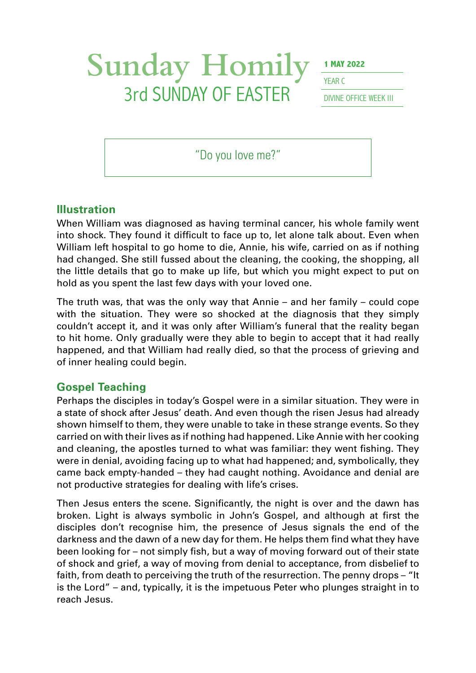# Sunday Homily **1 MAY 2022 3rd SUNDAY OF EASTER** DIVINE OFFICE WEEK III

YFAR<sub>C</sub>

"Do you love me?"

#### **Illustration**

When William was diagnosed as having terminal cancer, his whole family went into shock. They found it difficult to face up to, let alone talk about. Even when William left hospital to go home to die, Annie, his wife, carried on as if nothing had changed. She still fussed about the cleaning, the cooking, the shopping, all the little details that go to make up life, but which you might expect to put on hold as you spent the last few days with your loved one.

The truth was, that was the only way that Annie – and her family – could cope with the situation. They were so shocked at the diagnosis that they simply couldn't accept it, and it was only after William's funeral that the reality began to hit home. Only gradually were they able to begin to accept that it had really happened, and that William had really died, so that the process of grieving and of inner healing could begin.

## **Gospel Teaching**

Perhaps the disciples in today's Gospel were in a similar situation. They were in a state of shock after Jesus' death. And even though the risen Jesus had already shown himself to them, they were unable to take in these strange events. So they carried on with their lives as if nothing had happened. Like Annie with her cooking and cleaning, the apostles turned to what was familiar: they went fishing. They were in denial, avoiding facing up to what had happened; and, symbolically, they came back empty-handed – they had caught nothing. Avoidance and denial are not productive strategies for dealing with life's crises.

Then Jesus enters the scene. Significantly, the night is over and the dawn has broken. Light is always symbolic in John's Gospel, and although at first the disciples don't recognise him, the presence of Jesus signals the end of the darkness and the dawn of a new day for them. He helps them find what they have been looking for – not simply fish, but a way of moving forward out of their state of shock and grief, a way of moving from denial to acceptance, from disbelief to faith, from death to perceiving the truth of the resurrection. The penny drops – "It is the Lord" – and, typically, it is the impetuous Peter who plunges straight in to reach Jesus.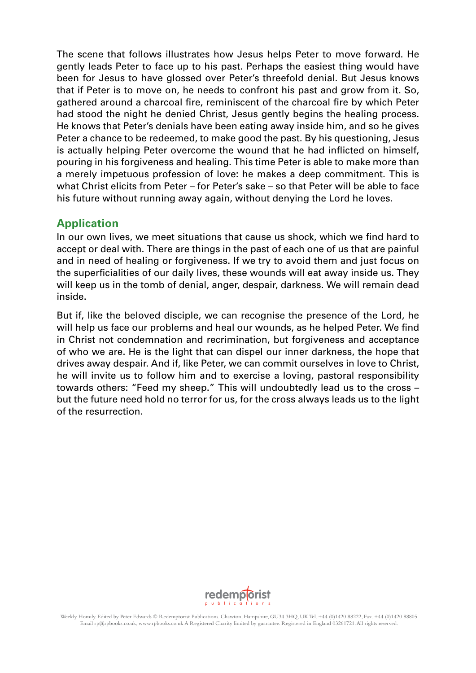The scene that follows illustrates how Jesus helps Peter to move forward. He gently leads Peter to face up to his past. Perhaps the easiest thing would have been for Jesus to have glossed over Peter's threefold denial. But Jesus knows that if Peter is to move on, he needs to confront his past and grow from it. So, gathered around a charcoal fire, reminiscent of the charcoal fire by which Peter had stood the night he denied Christ, Jesus gently begins the healing process. He knows that Peter's denials have been eating away inside him, and so he gives Peter a chance to be redeemed, to make good the past. By his questioning, Jesus is actually helping Peter overcome the wound that he had inflicted on himself, pouring in his forgiveness and healing. This time Peter is able to make more than a merely impetuous profession of love: he makes a deep commitment. This is what Christ elicits from Peter – for Peter's sake – so that Peter will be able to face his future without running away again, without denying the Lord he loves.

## **Application**

In our own lives, we meet situations that cause us shock, which we find hard to accept or deal with. There are things in the past of each one of us that are painful and in need of healing or forgiveness. If we try to avoid them and just focus on the superficialities of our daily lives, these wounds will eat away inside us. They will keep us in the tomb of denial, anger, despair, darkness. We will remain dead inside.

But if, like the beloved disciple, we can recognise the presence of the Lord, he will help us face our problems and heal our wounds, as he helped Peter. We find in Christ not condemnation and recrimination, but forgiveness and acceptance of who we are. He is the light that can dispel our inner darkness, the hope that drives away despair. And if, like Peter, we can commit ourselves in love to Christ, he will invite us to follow him and to exercise a loving, pastoral responsibility towards others: "Feed my sheep." This will undoubtedly lead us to the cross – but the future need hold no terror for us, for the cross always leads us to the light of the resurrection.

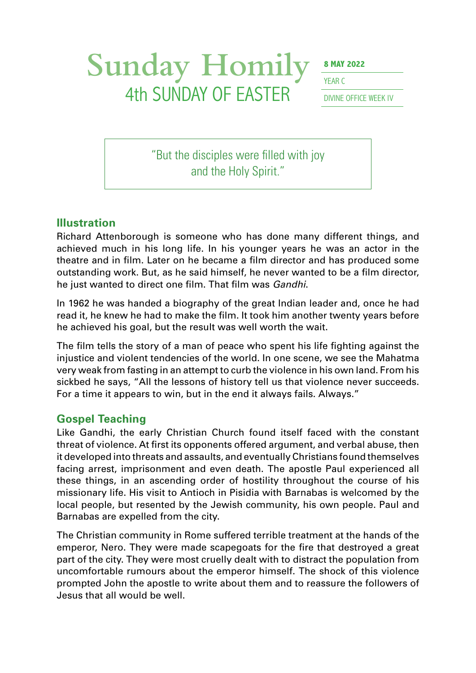# Sunday Homily **8 MAY 2022** 4th SUNDAY OF EASTER DIVINE OFFICE WEEK IV

YFAR C

"But the disciples were filled with joy and the Holy Spirit."

#### **Illustration**

Richard Attenborough is someone who has done many different things, and achieved much in his long life. In his younger years he was an actor in the theatre and in film. Later on he became a film director and has produced some outstanding work. But, as he said himself, he never wanted to be a film director, he just wanted to direct one film. That film was *Gandhi*.

In 1962 he was handed a biography of the great Indian leader and, once he had read it, he knew he had to make the film. It took him another twenty years before he achieved his goal, but the result was well worth the wait.

The film tells the story of a man of peace who spent his life fighting against the injustice and violent tendencies of the world. In one scene, we see the Mahatma very weak from fasting in an attempt to curb the violence in his own land. From his sickbed he says, "All the lessons of history tell us that violence never succeeds. For a time it appears to win, but in the end it always fails. Always."

#### **Gospel Teaching**

Like Gandhi, the early Christian Church found itself faced with the constant threat of violence. At first its opponents offered argument, and verbal abuse, then it developed into threats and assaults, and eventually Christians found themselves facing arrest, imprisonment and even death. The apostle Paul experienced all these things, in an ascending order of hostility throughout the course of his missionary life. His visit to Antioch in Pisidia with Barnabas is welcomed by the local people, but resented by the Jewish community, his own people. Paul and Barnabas are expelled from the city.

The Christian community in Rome suffered terrible treatment at the hands of the emperor, Nero. They were made scapegoats for the fire that destroyed a great part of the city. They were most cruelly dealt with to distract the population from uncomfortable rumours about the emperor himself. The shock of this violence prompted John the apostle to write about them and to reassure the followers of Jesus that all would be well.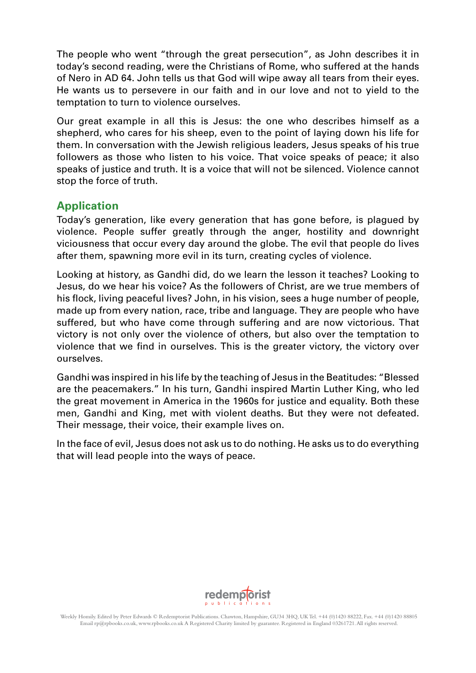The people who went "through the great persecution", as John describes it in today's second reading, were the Christians of Rome, who suffered at the hands of Nero in AD 64. John tells us that God will wipe away all tears from their eyes. He wants us to persevere in our faith and in our love and not to yield to the temptation to turn to violence ourselves.

Our great example in all this is Jesus: the one who describes himself as a shepherd, who cares for his sheep, even to the point of laying down his life for them. In conversation with the Jewish religious leaders, Jesus speaks of his true followers as those who listen to his voice. That voice speaks of peace; it also speaks of justice and truth. It is a voice that will not be silenced. Violence cannot stop the force of truth.

### **Application**

Today's generation, like every generation that has gone before, is plagued by violence. People suffer greatly through the anger, hostility and downright viciousness that occur every day around the globe. The evil that people do lives after them, spawning more evil in its turn, creating cycles of violence.

Looking at history, as Gandhi did, do we learn the lesson it teaches? Looking to Jesus, do we hear his voice? As the followers of Christ, are we true members of his flock, living peaceful lives? John, in his vision, sees a huge number of people, made up from every nation, race, tribe and language. They are people who have suffered, but who have come through suffering and are now victorious. That victory is not only over the violence of others, but also over the temptation to violence that we find in ourselves. This is the greater victory, the victory over ourselves.

Gandhi was inspired in his life by the teaching of Jesus in the Beatitudes: "Blessed are the peacemakers." In his turn, Gandhi inspired Martin Luther King, who led the great movement in America in the 1960s for justice and equality. Both these men, Gandhi and King, met with violent deaths. But they were not defeated. Their message, their voice, their example lives on.

In the face of evil, Jesus does not ask us to do nothing. He asks us to do everything that will lead people into the ways of peace.

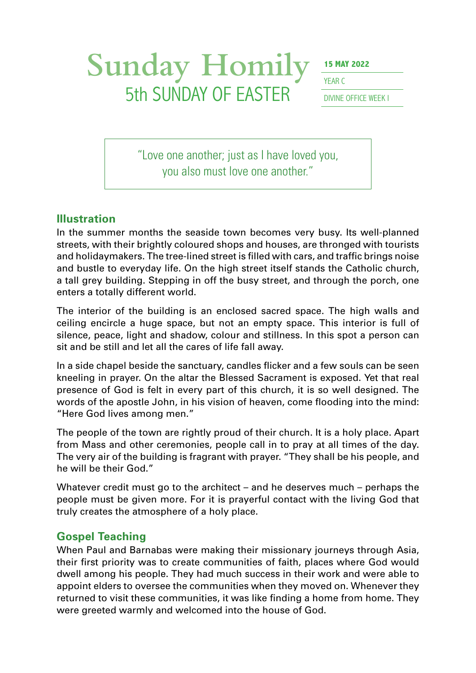## Sunday Homily **15 MAY 2022 5th SUNDAY OF EASTER** DIVINE OFFICE WEEK I

YFAR (

"Love one another; just as I have loved you, you also must love one another."

#### **Illustration**

In the summer months the seaside town becomes very busy. Its well-planned streets, with their brightly coloured shops and houses, are thronged with tourists and holidaymakers. The tree-lined street is filled with cars, and traffic brings noise and bustle to everyday life. On the high street itself stands the Catholic church, a tall grey building. Stepping in off the busy street, and through the porch, one enters a totally different world.

The interior of the building is an enclosed sacred space. The high walls and ceiling encircle a huge space, but not an empty space. This interior is full of silence, peace, light and shadow, colour and stillness. In this spot a person can sit and be still and let all the cares of life fall away.

In a side chapel beside the sanctuary, candles flicker and a few souls can be seen kneeling in prayer. On the altar the Blessed Sacrament is exposed. Yet that real presence of God is felt in every part of this church, it is so well designed. The words of the apostle John, in his vision of heaven, come flooding into the mind: "Here God lives among men."

The people of the town are rightly proud of their church. It is a holy place. Apart from Mass and other ceremonies, people call in to pray at all times of the day. The very air of the building is fragrant with prayer. "They shall be his people, and he will be their God."

Whatever credit must go to the architect – and he deserves much – perhaps the people must be given more. For it is prayerful contact with the living God that truly creates the atmosphere of a holy place.

#### **Gospel Teaching**

When Paul and Barnabas were making their missionary journeys through Asia, their first priority was to create communities of faith, places where God would dwell among his people. They had much success in their work and were able to appoint elders to oversee the communities when they moved on. Whenever they returned to visit these communities, it was like finding a home from home. They were greeted warmly and welcomed into the house of God.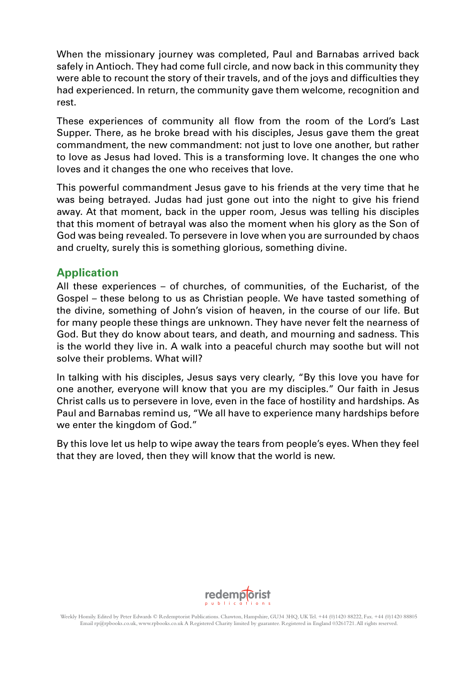When the missionary journey was completed, Paul and Barnabas arrived back safely in Antioch. They had come full circle, and now back in this community they were able to recount the story of their travels, and of the joys and difficulties they had experienced. In return, the community gave them welcome, recognition and rest.

These experiences of community all flow from the room of the Lord's Last Supper. There, as he broke bread with his disciples, Jesus gave them the great commandment, the new commandment: not just to love one another, but rather to love as Jesus had loved. This is a transforming love. It changes the one who loves and it changes the one who receives that love.

This powerful commandment Jesus gave to his friends at the very time that he was being betrayed. Judas had just gone out into the night to give his friend away. At that moment, back in the upper room, Jesus was telling his disciples that this moment of betrayal was also the moment when his glory as the Son of God was being revealed. To persevere in love when you are surrounded by chaos and cruelty, surely this is something glorious, something divine.

## **Application**

All these experiences – of churches, of communities, of the Eucharist, of the Gospel – these belong to us as Christian people. We have tasted something of the divine, something of John's vision of heaven, in the course of our life. But for many people these things are unknown. They have never felt the nearness of God. But they do know about tears, and death, and mourning and sadness. This is the world they live in. A walk into a peaceful church may soothe but will not solve their problems. What will?

In talking with his disciples, Jesus says very clearly, "By this love you have for one another, everyone will know that you are my disciples." Our faith in Jesus Christ calls us to persevere in love, even in the face of hostility and hardships. As Paul and Barnabas remind us, "We all have to experience many hardships before we enter the kingdom of God."

By this love let us help to wipe away the tears from people's eyes. When they feel that they are loved, then they will know that the world is new.

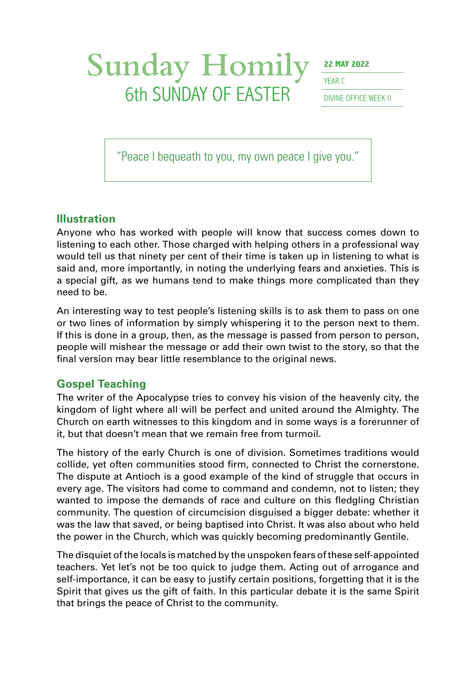# Sunday Homily <sup>22 MAY 2022</sup> **6th SUNDAY OF EASTER** DIVINE OFFICE WEEK II

YFAR C

"Peace I bequeath to you, my own peace I give you."

### **Illustration**

Anyone who has worked with people will know that success comes down to listening to each other. Those charged with helping others in a professional way would tell us that ninety per cent of their time is taken up in listening to what is said and, more importantly, in noting the underlying fears and anxieties. This is a special gift, as we humans tend to make things more complicated than they need to be.

An interesting way to test people's listening skills is to ask them to pass on one or two lines of information by simply whispering it to the person next to them. If this is done in a group, then, as the message is passed from person to person, people will mishear the message or add their own twist to the story, so that the final version may bear little resemblance to the original news.

## **Gospel Teaching**

The writer of the Apocalypse tries to convey his vision of the heavenly city, the kingdom of light where all will be perfect and united around the Almighty. The Church on earth witnesses to this kingdom and in some ways is a forerunner of it, but that doesn't mean that we remain free from turmoil.

The history of the early Church is one of division. Sometimes traditions would collide, yet often communities stood firm, connected to Christ the cornerstone. The dispute at Antioch is a good example of the kind of struggle that occurs in every age. The visitors had come to command and condemn, not to listen; they wanted to impose the demands of race and culture on this fledgling Christian community. The question of circumcision disguised a bigger debate: whether it was the law that saved, or being baptised into Christ. It was also about who held the power in the Church, which was quickly becoming predominantly Gentile.

The disquiet of the locals is matched by the unspoken fears of these self-appointed teachers. Yet let's not be too quick to judge them. Acting out of arrogance and self-importance, it can be easy to justify certain positions, forgetting that it is the Spirit that gives us the gift of faith. In this particular debate it is the same Spirit that brings the peace of Christ to the community.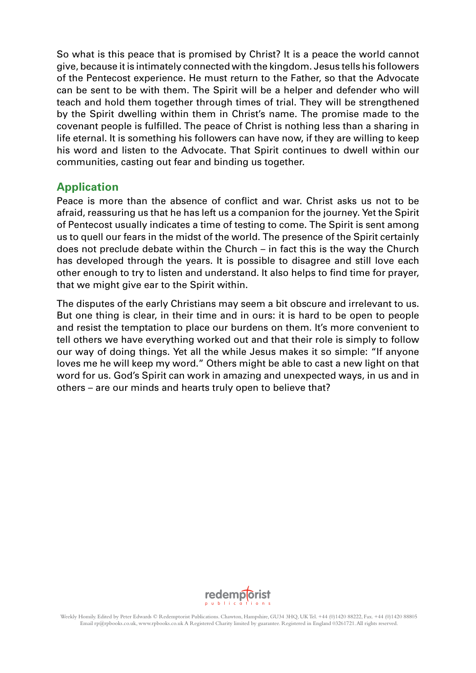So what is this peace that is promised by Christ? It is a peace the world cannot give, because it is intimately connected with the kingdom. Jesus tells his followers of the Pentecost experience. He must return to the Father, so that the Advocate can be sent to be with them. The Spirit will be a helper and defender who will teach and hold them together through times of trial. They will be strengthened by the Spirit dwelling within them in Christ's name. The promise made to the covenant people is fulfilled. The peace of Christ is nothing less than a sharing in life eternal. It is something his followers can have now, if they are willing to keep his word and listen to the Advocate. That Spirit continues to dwell within our communities, casting out fear and binding us together.

### **Application**

Peace is more than the absence of conflict and war. Christ asks us not to be afraid, reassuring us that he has left us a companion for the journey. Yet the Spirit of Pentecost usually indicates a time of testing to come. The Spirit is sent among us to quell our fears in the midst of the world. The presence of the Spirit certainly does not preclude debate within the Church – in fact this is the way the Church has developed through the years. It is possible to disagree and still love each other enough to try to listen and understand. It also helps to find time for prayer, that we might give ear to the Spirit within.

The disputes of the early Christians may seem a bit obscure and irrelevant to us. But one thing is clear, in their time and in ours: it is hard to be open to people and resist the temptation to place our burdens on them. It's more convenient to tell others we have everything worked out and that their role is simply to follow our way of doing things. Yet all the while Jesus makes it so simple: "If anyone loves me he will keep my word." Others might be able to cast a new light on that word for us. God's Spirit can work in amazing and unexpected ways, in us and in others – are our minds and hearts truly open to believe that?

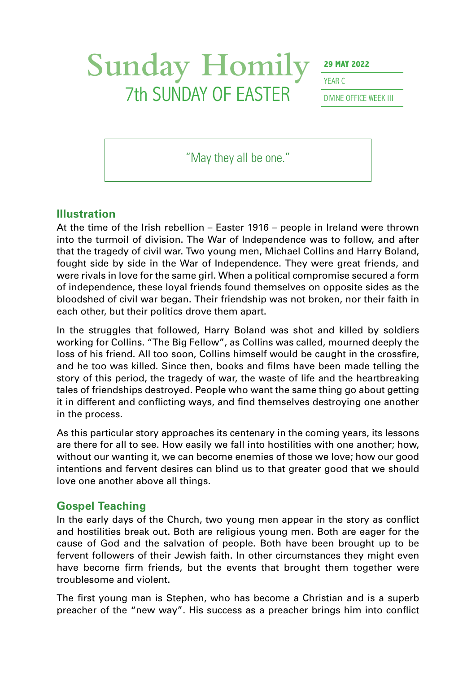## Sunday Homily <sup>29 MAY 2022</sup> **7th SUNDAY OF EASTER** DIVINE OFFICE WEEK III

YFAR C

"May they all be one."

### **Illustration**

At the time of the Irish rebellion – Easter 1916 – people in Ireland were thrown into the turmoil of division. The War of Independence was to follow, and after that the tragedy of civil war. Two young men, Michael Collins and Harry Boland, fought side by side in the War of Independence. They were great friends, and were rivals in love for the same girl. When a political compromise secured a form of independence, these loyal friends found themselves on opposite sides as the bloodshed of civil war began. Their friendship was not broken, nor their faith in each other, but their politics drove them apart.

In the struggles that followed, Harry Boland was shot and killed by soldiers working for Collins. "The Big Fellow", as Collins was called, mourned deeply the loss of his friend. All too soon, Collins himself would be caught in the crossfire, and he too was killed. Since then, books and films have been made telling the story of this period, the tragedy of war, the waste of life and the heartbreaking tales of friendships destroyed. People who want the same thing go about getting it in different and conflicting ways, and find themselves destroying one another in the process.

As this particular story approaches its centenary in the coming years, its lessons are there for all to see. How easily we fall into hostilities with one another; how, without our wanting it, we can become enemies of those we love; how our good intentions and fervent desires can blind us to that greater good that we should love one another above all things.

#### **Gospel Teaching**

In the early days of the Church, two young men appear in the story as conflict and hostilities break out. Both are religious young men. Both are eager for the cause of God and the salvation of people. Both have been brought up to be fervent followers of their Jewish faith. In other circumstances they might even have become firm friends, but the events that brought them together were troublesome and violent.

The first young man is Stephen, who has become a Christian and is a superb preacher of the "new way". His success as a preacher brings him into conflict